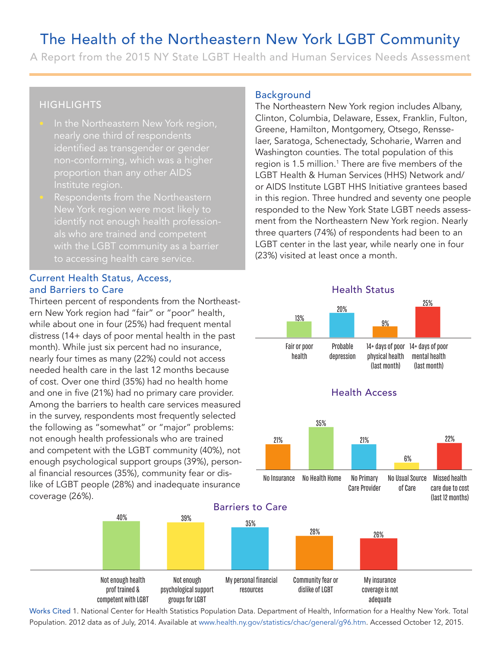# The Health of the Northeastern New York LGBT Community

A Report from the 2015 NY State LGBT Health and Human Services Needs Assessment

# **HIGHLIGHTS**

- nearly one third of respondents identified as transgender or gender non-conforming, which was a higher Institute region.
- Respondents from the Northeastern identify not enough health professionals who are trained and competent

#### Current Health Status, Access, and Barriers to Care

Thirteen percent of respondents from the Northeastern New York region had "fair" or "poor" health, while about one in four (25%) had frequent mental distress (14+ days of poor mental health in the past month). While just six percent had no insurance, nearly four times as many (22%) could not access needed health care in the last 12 months because of cost. Over one third (35%) had no health home and one in five (21%) had no primary care provider. Among the barriers to health care services measured in the survey, respondents most frequently selected the following as "somewhat" or "major" problems: not enough health professionals who are trained and competent with the LGBT community (40%), not enough psychological support groups (39%), personal financial resources (35%), community fear or dislike of LGBT people (28%) and inadequate insurance coverage (26%).

> Not enough health prof trained & competent with LGBT

Not enough psychological support groups for LGBT

#### Background

The Northeastern New York region includes Albany, Clinton, Columbia, Delaware, Essex, Franklin, Fulton, Greene, Hamilton, Montgomery, Otsego, Rensselaer, Saratoga, Schenectady, Schoharie, Warren and Washington counties. The total population of this region is 1.5 million.<sup>1</sup> There are five members of the LGBT Health & Human Services (HHS) Network and/ or AIDS Institute LGBT HHS Initiative grantees based in this region. Three hundred and seventy one people responded to the New York State LGBT needs assessment from the Northeastern New York region. Nearly three quarters (74%) of respondents had been to an LGBT center in the last year, while nearly one in four (23%) visited at least once a month. Expround<br>
13. Northeastern<br>
13. Saratoga, Sch<br>
5. Saratoga, Sch<br>
5. Saratoga, Sch<br>
5. Saratoga, Sch<br>
5. Saratoga, Sch<br>
5. Saratoga, Sch<br>
13. Saratoga, The School<br>
13. The School<br>
13. Saratoga, Schere in the Nor<br>
13. Sarato ern New York region includes Albam<br>
hbia, Delaware, Essex, Franklin, Fultc<br>
ton, Montgomery, Otsego, Rensse-<br>
Schenectady, Schoharie, Warren and<br>
sounties. The total population of this<br>
illion.<sup>1</sup> There are five members of





Works Cited 1. National Center for Health Statistics Population Data. Department of Health, Information for a Healthy New York. Total Population. 2012 data as of July, 2014. Available at www.health.ny.gov/statistics/chac/general/g96.htm. Accessed October 12, 2015.